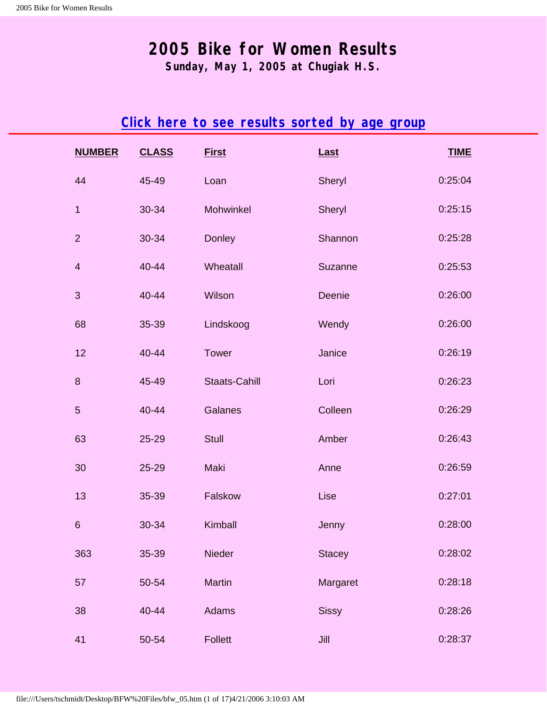**Sunday, May 1, 2005 at Chugiak H.S.**

## **[Click here to see results sorted by age group](#page-17-0)**

<span id="page-0-1"></span><span id="page-0-0"></span>

| <b>NUMBER</b>  | <b>CLASS</b> | <b>First</b>   | Last          | <b>TIME</b> |
|----------------|--------------|----------------|---------------|-------------|
| 44             | 45-49        | Loan           | Sheryl        | 0:25:04     |
| $\mathbf{1}$   | 30-34        | Mohwinkel      | Sheryl        | 0:25:15     |
| $\overline{2}$ | 30-34        | Donley         | Shannon       | 0:25:28     |
| $\overline{4}$ | 40-44        | Wheatall       | Suzanne       | 0:25:53     |
| $\mathbf{3}$   | 40-44        | Wilson         | Deenie        | 0:26:00     |
| 68             | 35-39        | Lindskoog      | Wendy         | 0:26:00     |
| 12             | 40-44        | Tower          | Janice        | 0:26:19     |
| $\bf 8$        | 45-49        | Staats-Cahill  | Lori          | 0:26:23     |
| $\sqrt{5}$     | 40-44        | Galanes        | Colleen       | 0:26:29     |
| 63             | 25-29        | <b>Stull</b>   | Amber         | 0:26:43     |
| 30             | 25-29        | Maki           | Anne          | 0:26:59     |
| 13             | 35-39        | Falskow        | Lise          | 0:27:01     |
| $\,6\,$        | 30-34        | Kimball        | Jenny         | 0:28:00     |
| 363            | 35-39        | Nieder         | <b>Stacey</b> | 0:28:02     |
| 57             | 50-54        | <b>Martin</b>  | Margaret      | 0:28:18     |
| 38             | 40-44        | Adams          | <b>Sissy</b>  | 0:28:26     |
| 41             | 50-54        | <b>Follett</b> | Jill          | 0:28:37     |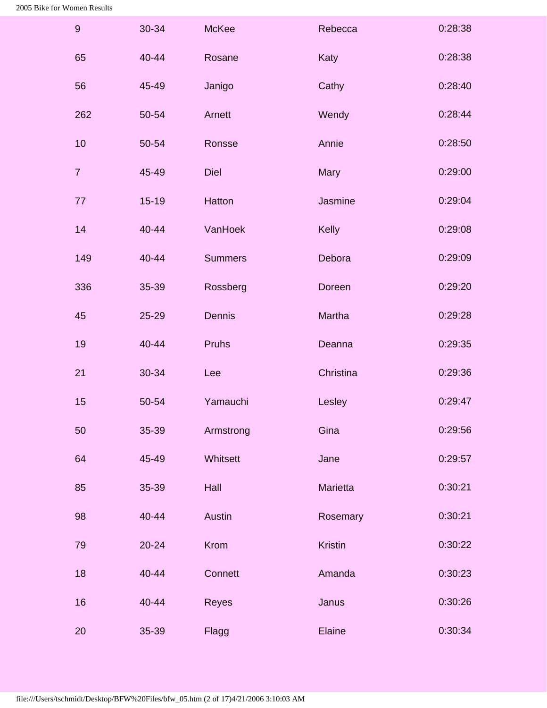| $\boldsymbol{9}$ | 30-34     | <b>McKee</b>   | Rebecca        | 0:28:38 |
|------------------|-----------|----------------|----------------|---------|
| 65               | 40-44     | Rosane         | Katy           | 0:28:38 |
| 56               | 45-49     | Janigo         | Cathy          | 0:28:40 |
| 262              | 50-54     | Arnett         | Wendy          | 0:28:44 |
| 10               | 50-54     | Ronsse         | Annie          | 0:28:50 |
| $\overline{7}$   | 45-49     | <b>Diel</b>    | Mary           | 0:29:00 |
| 77               | $15 - 19$ | Hatton         | Jasmine        | 0:29:04 |
| 14               | 40-44     | VanHoek        | Kelly          | 0:29:08 |
| 149              | 40-44     | <b>Summers</b> | Debora         | 0:29:09 |
| 336              | 35-39     | Rossberg       | Doreen         | 0:29:20 |
| 45               | 25-29     | Dennis         | Martha         | 0:29:28 |
| 19               | 40-44     | Pruhs          | Deanna         | 0:29:35 |
| 21               | 30-34     | Lee            | Christina      | 0:29:36 |
| 15               | 50-54     | Yamauchi       | Lesley         | 0:29:47 |
| 50               | 35-39     | Armstrong      | Gina           | 0:29:56 |
| 64               | 45-49     | Whitsett       | Jane           | 0:29:57 |
| 85               | 35-39     | Hall           | Marietta       | 0:30:21 |
| 98               | 40-44     | <b>Austin</b>  | Rosemary       | 0:30:21 |
| 79               | $20 - 24$ | Krom           | <b>Kristin</b> | 0:30:22 |
| 18               | 40-44     | Connett        | Amanda         | 0:30:23 |
| 16               | 40-44     | Reyes          | Janus          | 0:30:26 |
| 20               | 35-39     | Flagg          | Elaine         | 0:30:34 |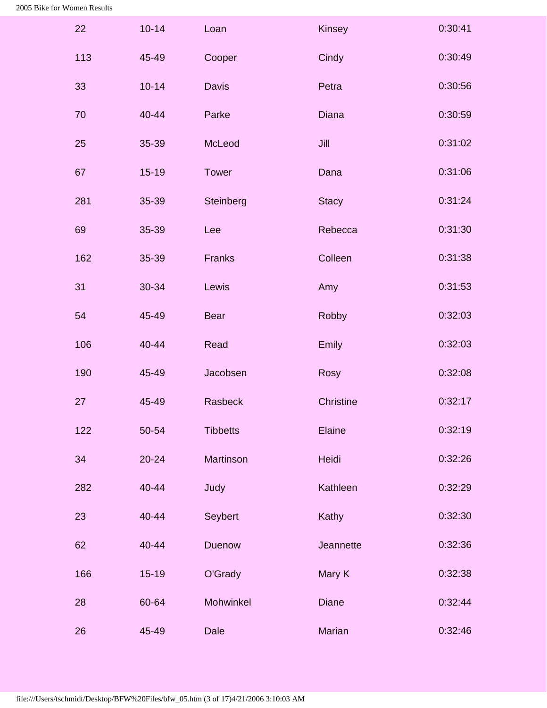| 22  | $10 - 14$ | Loan            | Kinsey       | 0:30:41 |
|-----|-----------|-----------------|--------------|---------|
| 113 | 45-49     | Cooper          | Cindy        | 0:30:49 |
| 33  | $10 - 14$ | <b>Davis</b>    | Petra        | 0:30:56 |
| 70  | 40-44     | Parke           | <b>Diana</b> | 0:30:59 |
| 25  | 35-39     | McLeod          | Jill         | 0:31:02 |
| 67  | $15 - 19$ | <b>Tower</b>    | Dana         | 0:31:06 |
| 281 | 35-39     | Steinberg       | <b>Stacy</b> | 0:31:24 |
| 69  | 35-39     | Lee             | Rebecca      | 0:31:30 |
| 162 | 35-39     | <b>Franks</b>   | Colleen      | 0:31:38 |
| 31  | 30-34     | Lewis           | Amy          | 0:31:53 |
| 54  | 45-49     | <b>Bear</b>     | Robby        | 0:32:03 |
| 106 | 40-44     | Read            | Emily        | 0:32:03 |
| 190 | 45-49     | Jacobsen        | Rosy         | 0:32:08 |
| 27  | 45-49     | Rasbeck         | Christine    | 0:32:17 |
| 122 | 50-54     | <b>Tibbetts</b> | Elaine       | 0:32:19 |
| 34  | $20 - 24$ | Martinson       | Heidi        | 0:32:26 |
| 282 | 40-44     | Judy            | Kathleen     | 0:32:29 |
| 23  | 40-44     | Seybert         | Kathy        | 0:32:30 |
| 62  | 40-44     | Duenow          | Jeannette    | 0:32:36 |
| 166 | $15 - 19$ | O'Grady         | Mary K       | 0:32:38 |
| 28  | 60-64     | Mohwinkel       | <b>Diane</b> | 0:32:44 |
| 26  | 45-49     | Dale            | Marian       | 0:32:46 |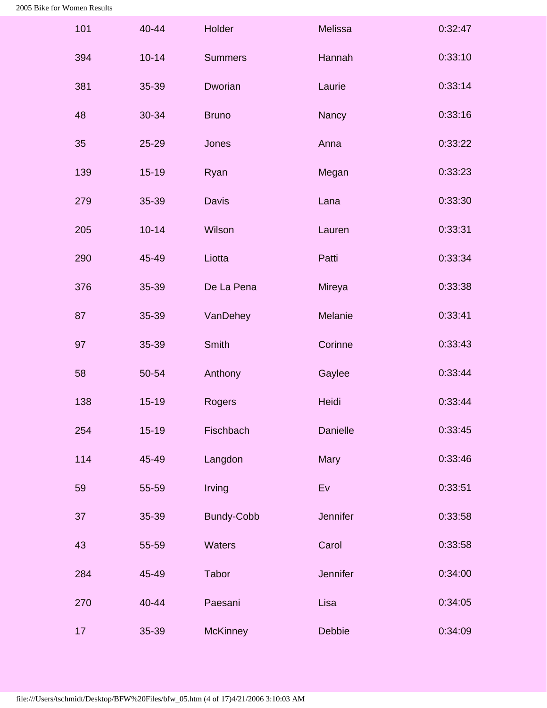| 101 | 40-44     | Holder            | Melissa         | 0:32:47 |
|-----|-----------|-------------------|-----------------|---------|
| 394 | $10 - 14$ | <b>Summers</b>    | Hannah          | 0:33:10 |
| 381 | 35-39     | Dworian           | Laurie          | 0:33:14 |
| 48  | 30-34     | <b>Bruno</b>      | Nancy           | 0:33:16 |
| 35  | 25-29     | Jones             | Anna            | 0:33:22 |
| 139 | $15 - 19$ | Ryan              | Megan           | 0:33:23 |
| 279 | 35-39     | <b>Davis</b>      | Lana            | 0:33:30 |
| 205 | $10 - 14$ | Wilson            | Lauren          | 0:33:31 |
| 290 | 45-49     | Liotta            | Patti           | 0:33:34 |
| 376 | 35-39     | De La Pena        | Mireya          | 0:33:38 |
| 87  | 35-39     | VanDehey          | Melanie         | 0:33:41 |
| 97  | 35-39     | <b>Smith</b>      | Corinne         | 0:33:43 |
| 58  | 50-54     | Anthony           | Gaylee          | 0:33:44 |
| 138 | $15 - 19$ | Rogers            | Heidi           | 0:33:44 |
| 254 | $15-19$   | Fischbach         | <b>Danielle</b> | 0:33:45 |
| 114 | 45-49     | Langdon           | Mary            | 0:33:46 |
| 59  | 55-59     | Irving            | Ev              | 0:33:51 |
| 37  | 35-39     | <b>Bundy-Cobb</b> | Jennifer        | 0:33:58 |
| 43  | 55-59     | Waters            | Carol           | 0:33:58 |
| 284 | 45-49     | Tabor             | Jennifer        | 0:34:00 |
| 270 | 40-44     | Paesani           | Lisa            | 0:34:05 |
| 17  | 35-39     | <b>McKinney</b>   | Debbie          | 0:34:09 |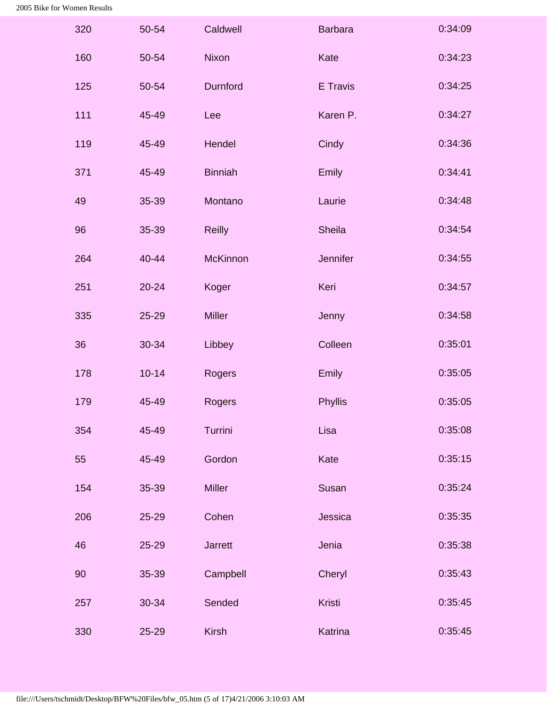| 320 | 50-54     | Caldwell        | <b>Barbara</b> | 0:34:09 |
|-----|-----------|-----------------|----------------|---------|
| 160 | 50-54     | <b>Nixon</b>    | Kate           | 0:34:23 |
| 125 | 50-54     | Durnford        | E Travis       | 0:34:25 |
| 111 | 45-49     | Lee             | Karen P.       | 0:34:27 |
| 119 | 45-49     | Hendel          | Cindy          | 0:34:36 |
| 371 | 45-49     | <b>Binniah</b>  | Emily          | 0:34:41 |
| 49  | 35-39     | Montano         | Laurie         | 0:34:48 |
| 96  | 35-39     | <b>Reilly</b>   | <b>Sheila</b>  | 0:34:54 |
| 264 | 40-44     | <b>McKinnon</b> | Jennifer       | 0:34:55 |
| 251 | $20 - 24$ | Koger           | Keri           | 0:34:57 |
| 335 | 25-29     | <b>Miller</b>   | Jenny          | 0:34:58 |
| 36  | 30-34     | Libbey          | Colleen        | 0:35:01 |
| 178 | $10 - 14$ | Rogers          | Emily          | 0:35:05 |
| 179 | 45-49     | Rogers          | Phyllis        | 0:35:05 |
| 354 | 45-49     | Turrini         | Lisa           | 0:35:08 |
| 55  | 45-49     | Gordon          | Kate           | 0:35:15 |
| 154 | 35-39     | <b>Miller</b>   | Susan          | 0:35:24 |
| 206 | 25-29     | Cohen           | Jessica        | 0:35:35 |
| 46  | 25-29     | <b>Jarrett</b>  | Jenia          | 0:35:38 |
| 90  | 35-39     | Campbell        | Cheryl         | 0:35:43 |
| 257 | 30-34     | Sended          | Kristi         | 0:35:45 |
| 330 | 25-29     | <b>Kirsh</b>    | Katrina        | 0:35:45 |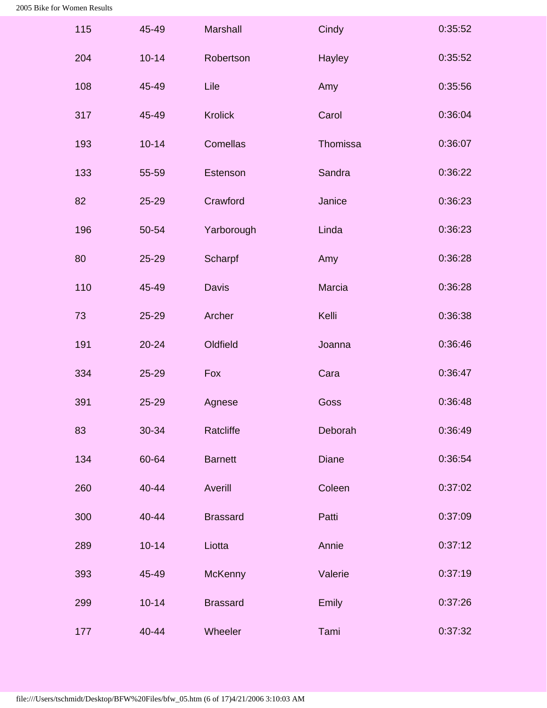| 115 | 45-49     | <b>Marshall</b> | Cindy        | 0:35:52 |
|-----|-----------|-----------------|--------------|---------|
| 204 | $10 - 14$ | Robertson       | Hayley       | 0:35:52 |
| 108 | 45-49     | Lile            | Amy          | 0:35:56 |
| 317 | 45-49     | <b>Krolick</b>  | Carol        | 0:36:04 |
| 193 | $10 - 14$ | Comellas        | Thomissa     | 0:36:07 |
| 133 | 55-59     | Estenson        | Sandra       | 0:36:22 |
| 82  | 25-29     | Crawford        | Janice       | 0:36:23 |
| 196 | 50-54     | Yarborough      | Linda        | 0:36:23 |
| 80  | 25-29     | Scharpf         | Amy          | 0:36:28 |
| 110 | 45-49     | <b>Davis</b>    | Marcia       | 0:36:28 |
| 73  | 25-29     | Archer          | Kelli        | 0:36:38 |
| 191 | $20 - 24$ | Oldfield        | Joanna       | 0:36:46 |
| 334 | 25-29     | Fox             | Cara         | 0:36:47 |
| 391 | 25-29     | Agnese          | Goss         | 0:36:48 |
| 83  | 30-34     | Ratcliffe       | Deborah      | 0:36:49 |
| 134 | 60-64     | <b>Barnett</b>  | <b>Diane</b> | 0:36:54 |
| 260 | 40-44     | Averill         | Coleen       | 0:37:02 |
| 300 | 40-44     | <b>Brassard</b> | Patti        | 0:37:09 |
| 289 | $10 - 14$ | Liotta          | Annie        | 0:37:12 |
| 393 | 45-49     | McKenny         | Valerie      | 0:37:19 |
| 299 | $10 - 14$ | <b>Brassard</b> | Emily        | 0:37:26 |
| 177 | 40-44     | Wheeler         | Tami         | 0:37:32 |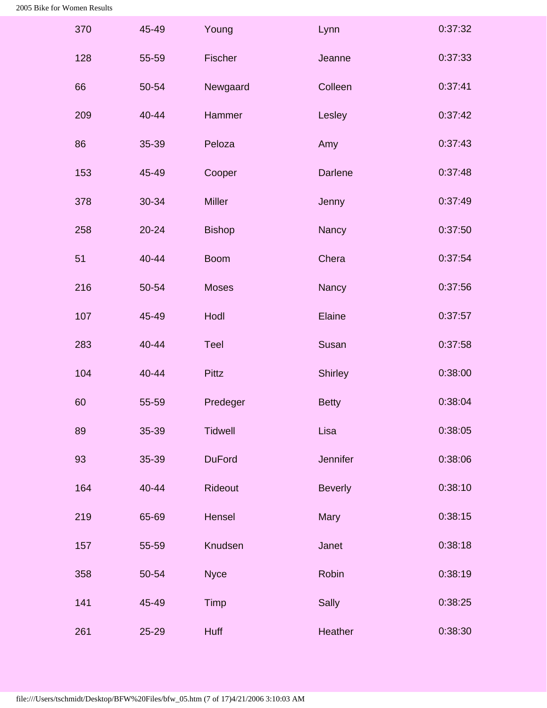| 370 | 45-49 | Young          | Lynn           | 0:37:32 |
|-----|-------|----------------|----------------|---------|
| 128 | 55-59 | Fischer        | Jeanne         | 0:37:33 |
| 66  | 50-54 | Newgaard       | Colleen        | 0:37:41 |
| 209 | 40-44 | Hammer         | Lesley         | 0:37:42 |
| 86  | 35-39 | Peloza         | Amy            | 0:37:43 |
| 153 | 45-49 | Cooper         | <b>Darlene</b> | 0:37:48 |
| 378 | 30-34 | <b>Miller</b>  | Jenny          | 0:37:49 |
| 258 | 20-24 | <b>Bishop</b>  | Nancy          | 0:37:50 |
| 51  | 40-44 | <b>Boom</b>    | Chera          | 0:37:54 |
| 216 | 50-54 | <b>Moses</b>   | Nancy          | 0:37:56 |
| 107 | 45-49 | Hodl           | Elaine         | 0:37:57 |
| 283 | 40-44 | <b>Teel</b>    | Susan          | 0:37:58 |
| 104 | 40-44 | <b>Pittz</b>   | Shirley        | 0:38:00 |
| 60  | 55-59 | Predeger       | <b>Betty</b>   | 0:38:04 |
| 89  | 35-39 | <b>Tidwell</b> | Lisa           | 0:38:05 |
| 93  | 35-39 | <b>DuFord</b>  | Jennifer       | 0:38:06 |
| 164 | 40-44 | Rideout        | <b>Beverly</b> | 0:38:10 |
| 219 | 65-69 | Hensel         | Mary           | 0:38:15 |
| 157 | 55-59 | Knudsen        | Janet          | 0:38:18 |
| 358 | 50-54 | <b>Nyce</b>    | Robin          | 0:38:19 |
| 141 | 45-49 | Timp           | Sally          | 0:38:25 |
| 261 | 25-29 | <b>Huff</b>    | Heather        | 0:38:30 |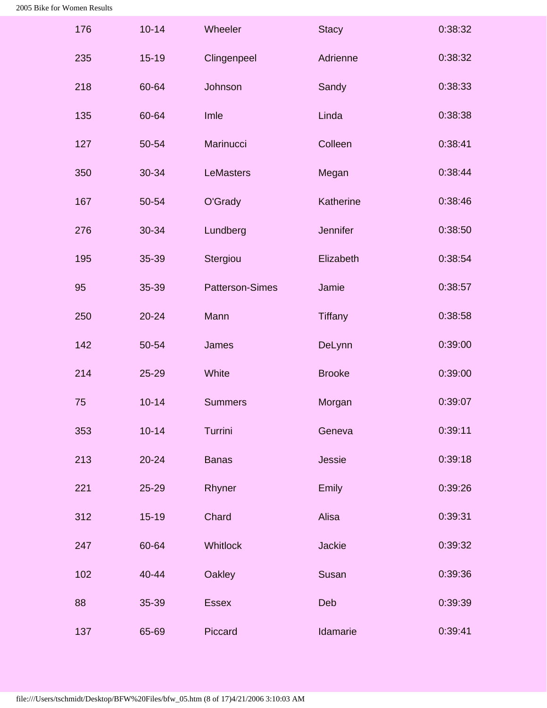| 176 | $10 - 14$ | Wheeler                | <b>Stacy</b>   | 0:38:32 |
|-----|-----------|------------------------|----------------|---------|
| 235 | $15 - 19$ | Clingenpeel            | Adrienne       | 0:38:32 |
| 218 | 60-64     | Johnson                | Sandy          | 0:38:33 |
| 135 | 60-64     | Imle                   | Linda          | 0:38:38 |
| 127 | 50-54     | Marinucci              | Colleen        | 0:38:41 |
| 350 | 30-34     | <b>LeMasters</b>       | Megan          | 0:38:44 |
| 167 | 50-54     | O'Grady                | Katherine      | 0:38:46 |
| 276 | 30-34     | Lundberg               | Jennifer       | 0:38:50 |
| 195 | 35-39     | Stergiou               | Elizabeth      | 0:38:54 |
| 95  | 35-39     | <b>Patterson-Simes</b> | Jamie          | 0:38:57 |
| 250 | $20 - 24$ | Mann                   | <b>Tiffany</b> | 0:38:58 |
| 142 | 50-54     | James                  | DeLynn         | 0:39:00 |
| 214 | 25-29     | White                  | <b>Brooke</b>  | 0:39:00 |
| 75  | $10 - 14$ | <b>Summers</b>         | Morgan         | 0:39:07 |
| 353 | $10 - 14$ | Turrini                | Geneva         | 0:39:11 |
| 213 | $20 - 24$ | <b>Banas</b>           | Jessie         | 0:39:18 |
| 221 | 25-29     | Rhyner                 | Emily          | 0:39:26 |
| 312 | $15 - 19$ | Chard                  | Alisa          | 0:39:31 |
| 247 | 60-64     | Whitlock               | <b>Jackie</b>  | 0:39:32 |
| 102 | 40-44     | Oakley                 | Susan          | 0:39:36 |
| 88  | 35-39     | <b>Essex</b>           | Deb            | 0:39:39 |
| 137 | 65-69     | Piccard                | Idamarie       | 0:39:41 |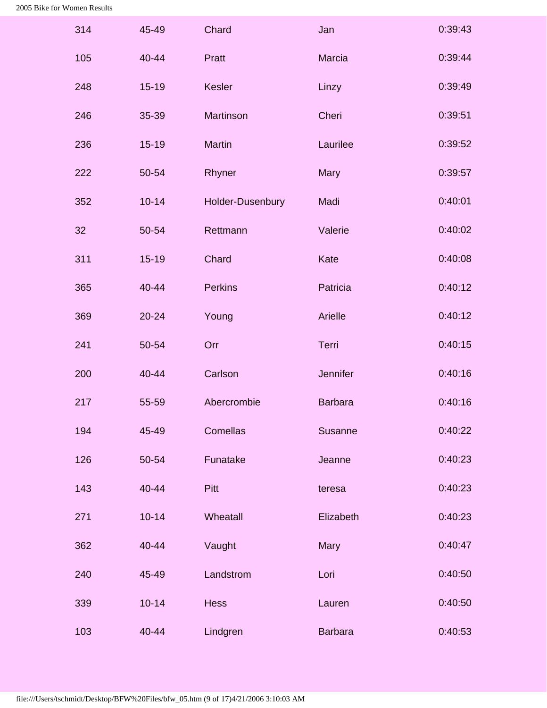| 314 | 45-49     | Chard            | Jan            | 0:39:43 |
|-----|-----------|------------------|----------------|---------|
| 105 | 40-44     | Pratt            | Marcia         | 0:39:44 |
| 248 | $15 - 19$ | <b>Kesler</b>    | Linzy          | 0:39:49 |
| 246 | 35-39     | Martinson        | Cheri          | 0:39:51 |
| 236 | $15 - 19$ | Martin           | Laurilee       | 0:39:52 |
| 222 | 50-54     | Rhyner           | Mary           | 0:39:57 |
| 352 | $10 - 14$ | Holder-Dusenbury | Madi           | 0:40:01 |
| 32  | 50-54     | Rettmann         | Valerie        | 0:40:02 |
| 311 | $15 - 19$ | Chard            | Kate           | 0:40:08 |
| 365 | 40-44     | <b>Perkins</b>   | Patricia       | 0:40:12 |
| 369 | $20 - 24$ | Young            | Arielle        | 0:40:12 |
| 241 | 50-54     | Orr              | Terri          | 0:40:15 |
| 200 | 40-44     | Carlson          | Jennifer       | 0:40:16 |
| 217 | 55-59     | Abercrombie      | <b>Barbara</b> | 0:40:16 |
| 194 | 45-49     | Comellas         | <b>Susanne</b> | 0:40:22 |
| 126 | 50-54     | Funatake         | Jeanne         | 0:40:23 |
| 143 | 40-44     | Pitt             | teresa         | 0:40:23 |
| 271 | $10 - 14$ | Wheatall         | Elizabeth      | 0:40:23 |
| 362 | 40-44     | Vaught           | Mary           | 0:40:47 |
| 240 | 45-49     | Landstrom        | Lori           | 0:40:50 |
| 339 | $10 - 14$ | <b>Hess</b>      | Lauren         | 0:40:50 |
| 103 | 40-44     | Lindgren         | <b>Barbara</b> | 0:40:53 |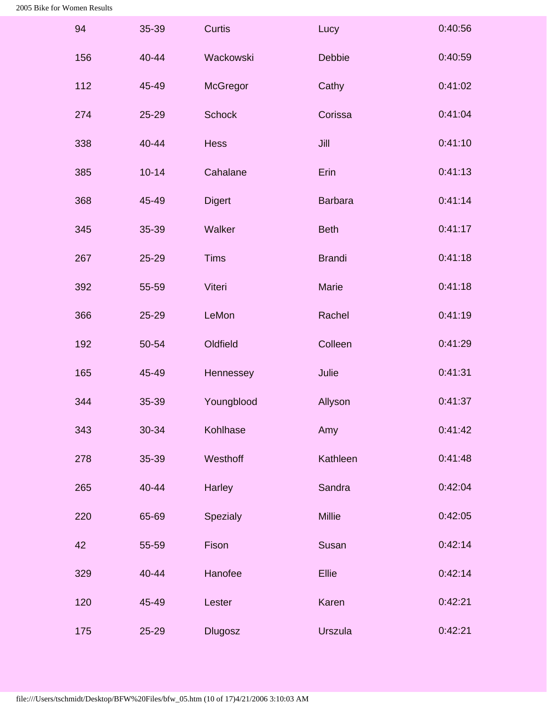| 94  | 35-39     | <b>Curtis</b>  | Lucy           | 0:40:56 |
|-----|-----------|----------------|----------------|---------|
| 156 | 40-44     | Wackowski      | Debbie         | 0:40:59 |
| 112 | 45-49     | McGregor       | Cathy          | 0:41:02 |
| 274 | 25-29     | <b>Schock</b>  | Corissa        | 0:41:04 |
| 338 | 40-44     | <b>Hess</b>    | Jill           | 0:41:10 |
| 385 | $10 - 14$ | Cahalane       | Erin           | 0:41:13 |
| 368 | 45-49     | <b>Digert</b>  | <b>Barbara</b> | 0:41:14 |
| 345 | 35-39     | Walker         | <b>Beth</b>    | 0:41:17 |
| 267 | 25-29     | <b>Tims</b>    | <b>Brandi</b>  | 0:41:18 |
| 392 | 55-59     | Viteri         | Marie          | 0:41:18 |
| 366 | 25-29     | LeMon          | Rachel         | 0:41:19 |
| 192 | 50-54     | Oldfield       | Colleen        | 0:41:29 |
| 165 | 45-49     | Hennessey      | Julie          | 0:41:31 |
| 344 | 35-39     | Youngblood     | Allyson        | 0:41:37 |
| 343 | 30-34     | Kohlhase       | Amy            | 0:41:42 |
| 278 | 35-39     | Westhoff       | Kathleen       | 0:41:48 |
| 265 | 40-44     | Harley         | Sandra         | 0:42:04 |
| 220 | 65-69     | Spezialy       | <b>Millie</b>  | 0:42:05 |
| 42  | 55-59     | Fison          | Susan          | 0:42:14 |
| 329 | 40-44     | Hanofee        | Ellie          | 0:42:14 |
| 120 | 45-49     | Lester         | Karen          | 0:42:21 |
| 175 | 25-29     | <b>Dlugosz</b> | <b>Urszula</b> | 0:42:21 |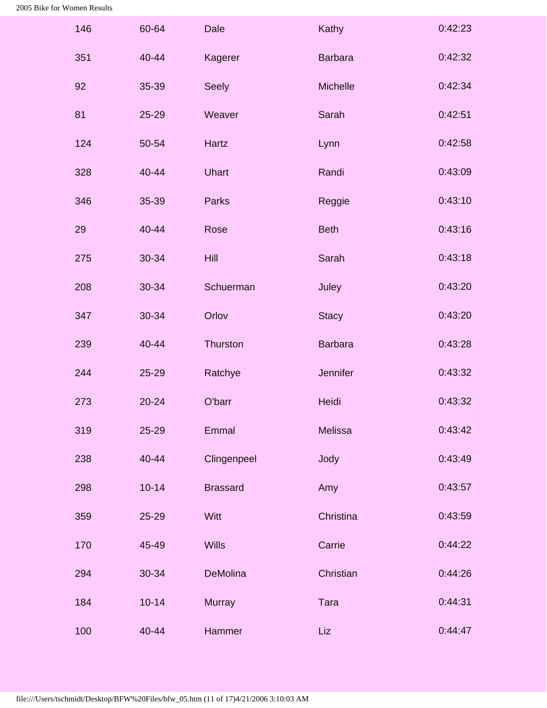| 146 | 60-64     | Dale            | Kathy          | 0:42:23 |
|-----|-----------|-----------------|----------------|---------|
| 351 | 40-44     | Kagerer         | <b>Barbara</b> | 0:42:32 |
| 92  | 35-39     | Seely           | Michelle       | 0:42:34 |
| 81  | 25-29     | Weaver          | Sarah          | 0:42:51 |
| 124 | 50-54     | Hartz           | Lynn           | 0:42:58 |
| 328 | 40-44     | <b>Uhart</b>    | Randi          | 0:43:09 |
| 346 | 35-39     | Parks           | Reggie         | 0:43:10 |
| 29  | 40-44     | Rose            | <b>Beth</b>    | 0:43:16 |
| 275 | 30-34     | Hill            | Sarah          | 0:43:18 |
| 208 | 30-34     | Schuerman       | Juley          | 0:43:20 |
| 347 | 30-34     | Orlov           | <b>Stacy</b>   | 0:43:20 |
| 239 | 40-44     | Thurston        | <b>Barbara</b> | 0:43:28 |
| 244 | 25-29     | Ratchye         | Jennifer       | 0:43:32 |
| 273 | 20-24     | O'barr          | Heidi          | 0:43:32 |
| 319 | $25 - 29$ | Emmal           | <b>Melissa</b> | 0:43:42 |
| 238 | 40-44     | Clingenpeel     | Jody           | 0:43:49 |
| 298 | $10 - 14$ | <b>Brassard</b> | Amy            | 0:43:57 |
| 359 | $25 - 29$ | Witt            | Christina      | 0:43:59 |
| 170 | 45-49     | <b>Wills</b>    | Carrie         | 0:44:22 |
| 294 | 30-34     | DeMolina        | Christian      | 0:44:26 |
| 184 | $10 - 14$ | <b>Murray</b>   | Tara           | 0:44:31 |
| 100 | 40-44     | Hammer          | Liz            | 0:44:47 |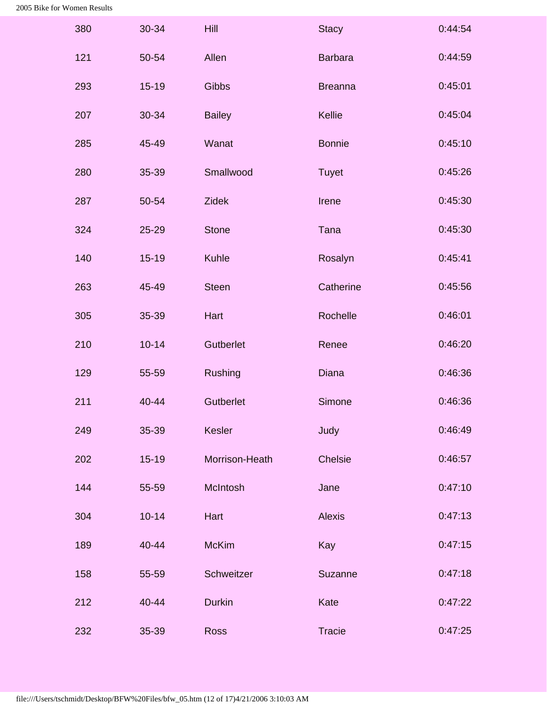| 380 | $30 - 34$ | Hill           | <b>Stacy</b>   | 0:44:54 |
|-----|-----------|----------------|----------------|---------|
| 121 | 50-54     | Allen          | <b>Barbara</b> | 0:44:59 |
| 293 | $15 - 19$ | Gibbs          | <b>Breanna</b> | 0:45:01 |
| 207 | 30-34     | <b>Bailey</b>  | Kellie         | 0:45:04 |
| 285 | 45-49     | Wanat          | <b>Bonnie</b>  | 0:45:10 |
| 280 | 35-39     | Smallwood      | <b>Tuyet</b>   | 0:45:26 |
| 287 | 50-54     | <b>Zidek</b>   | Irene          | 0:45:30 |
| 324 | 25-29     | <b>Stone</b>   | Tana           | 0:45:30 |
| 140 | $15 - 19$ | Kuhle          | Rosalyn        | 0:45:41 |
| 263 | 45-49     | <b>Steen</b>   | Catherine      | 0:45:56 |
| 305 | 35-39     | Hart           | Rochelle       | 0:46:01 |
| 210 | $10 - 14$ | Gutberlet      | Renee          | 0:46:20 |
| 129 | 55-59     | Rushing        | <b>Diana</b>   | 0:46:36 |
| 211 | 40-44     | Gutberlet      | Simone         | 0:46:36 |
| 249 | 35-39     | <b>Kesler</b>  | Judy           | 0:46:49 |
| 202 | $15 - 19$ | Morrison-Heath | Chelsie        | 0:46:57 |
| 144 | 55-59     | McIntosh       | Jane           | 0:47:10 |
| 304 | $10 - 14$ | Hart           | <b>Alexis</b>  | 0:47:13 |
| 189 | 40-44     | <b>McKim</b>   | Kay            | 0:47:15 |
| 158 | 55-59     | Schweitzer     | Suzanne        | 0:47:18 |
| 212 | 40-44     | <b>Durkin</b>  | Kate           | 0:47:22 |
| 232 | 35-39     | <b>Ross</b>    | <b>Tracie</b>  | 0:47:25 |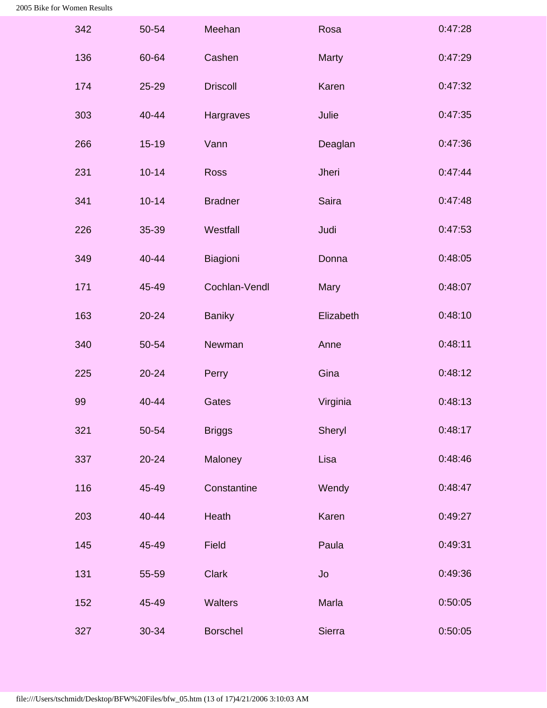| 342 | 50-54     | Meehan          | Rosa         | 0:47:28 |
|-----|-----------|-----------------|--------------|---------|
| 136 | 60-64     | Cashen          | <b>Marty</b> | 0:47:29 |
| 174 | 25-29     | <b>Driscoll</b> | Karen        | 0:47:32 |
| 303 | 40-44     | Hargraves       | Julie        | 0:47:35 |
| 266 | $15 - 19$ | Vann            | Deaglan      | 0:47:36 |
| 231 | $10 - 14$ | <b>Ross</b>     | Jheri        | 0:47:44 |
| 341 | $10 - 14$ | <b>Bradner</b>  | <b>Saira</b> | 0:47:48 |
| 226 | 35-39     | Westfall        | Judi         | 0:47:53 |
| 349 | 40-44     | Biagioni        | Donna        | 0:48:05 |
| 171 | 45-49     | Cochlan-Vendl   | Mary         | 0:48:07 |
| 163 | 20-24     | <b>Baniky</b>   | Elizabeth    | 0:48:10 |
| 340 | 50-54     | Newman          | Anne         | 0:48:11 |
| 225 | 20-24     | Perry           | Gina         | 0:48:12 |
| 99  | 40-44     | Gates           | Virginia     | 0:48:13 |
| 321 | 50-54     | <b>Briggs</b>   | Sheryl       | 0:48:17 |
| 337 | $20 - 24$ | Maloney         | Lisa         | 0:48:46 |
| 116 | 45-49     | Constantine     | Wendy        | 0:48:47 |
| 203 | 40-44     | Heath           | Karen        | 0:49:27 |
| 145 | 45-49     | Field           | Paula        | 0:49:31 |
| 131 | 55-59     | <b>Clark</b>    | Jo           | 0:49:36 |
| 152 | 45-49     | <b>Walters</b>  | Marla        | 0:50:05 |
| 327 | 30-34     | <b>Borschel</b> | Sierra       | 0:50:05 |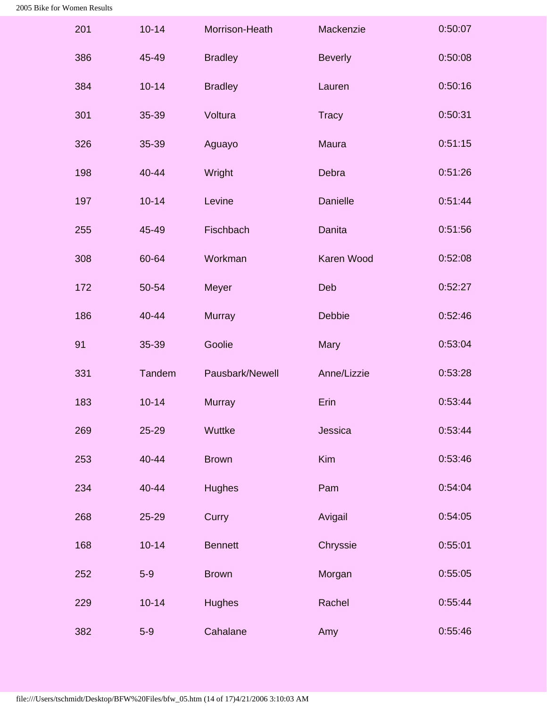| 201 | $10 - 14$ | Morrison-Heath  | Mackenzie       | 0:50:07 |
|-----|-----------|-----------------|-----------------|---------|
| 386 | 45-49     | <b>Bradley</b>  | <b>Beverly</b>  | 0:50:08 |
| 384 | $10 - 14$ | <b>Bradley</b>  | Lauren          | 0:50:16 |
| 301 | 35-39     | Voltura         | <b>Tracy</b>    | 0:50:31 |
| 326 | 35-39     | Aguayo          | <b>Maura</b>    | 0:51:15 |
| 198 | 40-44     | Wright          | Debra           | 0:51:26 |
| 197 | $10 - 14$ | Levine          | <b>Danielle</b> | 0:51:44 |
| 255 | 45-49     | Fischbach       | <b>Danita</b>   | 0:51:56 |
| 308 | 60-64     | Workman         | Karen Wood      | 0:52:08 |
| 172 | 50-54     | Meyer           | Deb             | 0:52:27 |
| 186 | 40-44     | <b>Murray</b>   | Debbie          | 0:52:46 |
| 91  | 35-39     | Goolie          | Mary            | 0:53:04 |
| 331 | Tandem    | Pausbark/Newell | Anne/Lizzie     | 0:53:28 |
| 183 | $10 - 14$ | <b>Murray</b>   | Erin            | 0:53:44 |
| 269 | 25-29     | Wuttke          | Jessica         | 0:53:44 |
| 253 | 40-44     | <b>Brown</b>    | Kim             | 0:53:46 |
| 234 | 40-44     | <b>Hughes</b>   | Pam             | 0:54:04 |
| 268 | 25-29     | Curry           | Avigail         | 0:54:05 |
| 168 | $10 - 14$ | <b>Bennett</b>  | Chryssie        | 0:55:01 |
| 252 | $5-9$     | <b>Brown</b>    | Morgan          | 0:55:05 |
| 229 | $10 - 14$ | <b>Hughes</b>   | Rachel          | 0:55:44 |
| 382 | $5-9$     | Cahalane        | Amy             | 0:55:46 |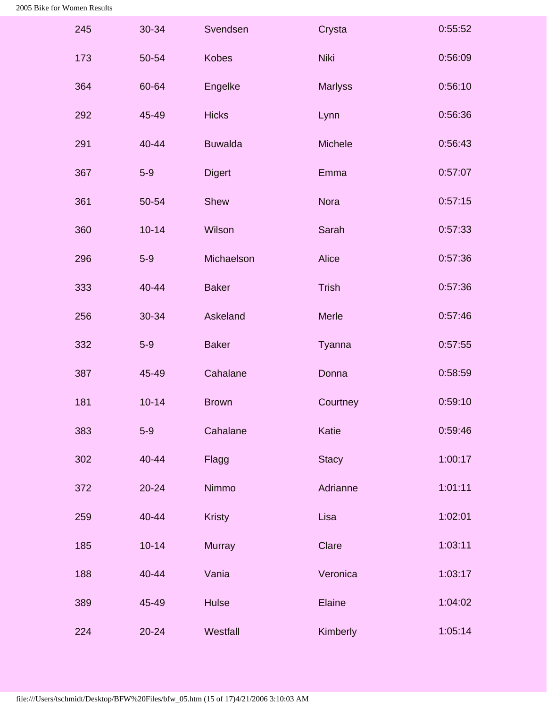| 245 | 30-34     | Svendsen       | Crysta         | 0:55:52 |
|-----|-----------|----------------|----------------|---------|
| 173 | 50-54     | <b>Kobes</b>   | <b>Niki</b>    | 0:56:09 |
| 364 | 60-64     | Engelke        | <b>Marlyss</b> | 0:56:10 |
| 292 | 45-49     | <b>Hicks</b>   | Lynn           | 0:56:36 |
| 291 | 40-44     | <b>Buwalda</b> | Michele        | 0:56:43 |
| 367 | $5-9$     | <b>Digert</b>  | Emma           | 0:57:07 |
| 361 | 50-54     | Shew           | <b>Nora</b>    | 0:57:15 |
| 360 | $10 - 14$ | Wilson         | Sarah          | 0:57:33 |
| 296 | $5-9$     | Michaelson     | Alice          | 0:57:36 |
| 333 | 40-44     | <b>Baker</b>   | <b>Trish</b>   | 0:57:36 |
| 256 | 30-34     | Askeland       | <b>Merle</b>   | 0:57:46 |
| 332 | $5-9$     | <b>Baker</b>   | Tyanna         | 0:57:55 |
| 387 | 45-49     | Cahalane       | Donna          | 0:58:59 |
| 181 | $10 - 14$ | <b>Brown</b>   | Courtney       | 0:59:10 |
| 383 | $5-9$     | Cahalane       | Katie          | 0:59:46 |
| 302 | 40-44     | Flagg          | <b>Stacy</b>   | 1:00:17 |
| 372 | $20 - 24$ | Nimmo          | Adrianne       | 1:01:11 |
| 259 | 40-44     | <b>Kristy</b>  | Lisa           | 1:02:01 |
| 185 | $10 - 14$ | <b>Murray</b>  | Clare          | 1:03:11 |
| 188 | 40-44     | Vania          | Veronica       | 1:03:17 |
| 389 | 45-49     | <b>Hulse</b>   | Elaine         | 1:04:02 |
| 224 | $20 - 24$ | Westfall       | Kimberly       | 1:05:14 |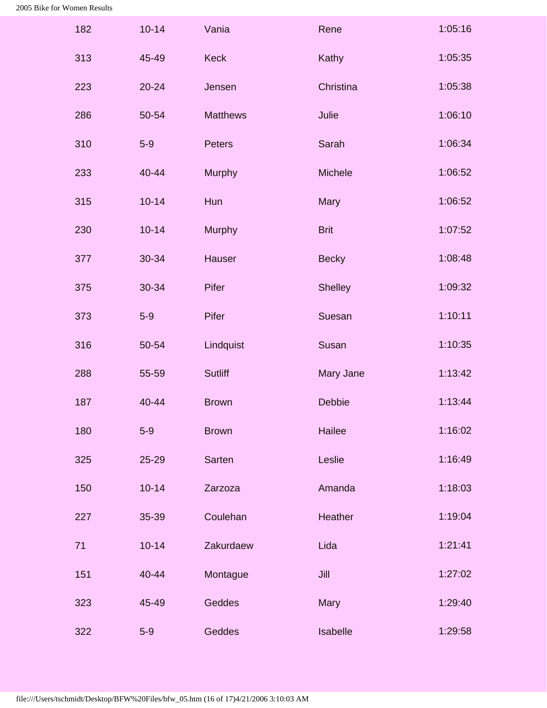| 182 | $10 - 14$ | Vania           | Rene           | 1:05:16 |
|-----|-----------|-----------------|----------------|---------|
| 313 | 45-49     | <b>Keck</b>     | Kathy          | 1:05:35 |
| 223 | $20 - 24$ | Jensen          | Christina      | 1:05:38 |
| 286 | 50-54     | <b>Matthews</b> | Julie          | 1:06:10 |
| 310 | $5-9$     | Peters          | Sarah          | 1:06:34 |
| 233 | 40-44     | Murphy          | Michele        | 1:06:52 |
| 315 | $10 - 14$ | Hun             | Mary           | 1:06:52 |
| 230 | $10 - 14$ | <b>Murphy</b>   | <b>Brit</b>    | 1:07:52 |
| 377 | 30-34     | Hauser          | <b>Becky</b>   | 1:08:48 |
| 375 | 30-34     | Pifer           | <b>Shelley</b> | 1:09:32 |
| 373 | $5-9$     | Pifer           | Suesan         | 1:10:11 |
| 316 | 50-54     | Lindquist       | Susan          | 1:10:35 |
| 288 | 55-59     | <b>Sutliff</b>  | Mary Jane      | 1:13:42 |
| 187 | 40-44     | <b>Brown</b>    | Debbie         | 1:13:44 |
| 180 | $5-9$     | <b>Brown</b>    | Hailee         | 1:16:02 |
| 325 | 25-29     | Sarten          | Leslie         | 1:16:49 |
| 150 | $10 - 14$ | Zarzoza         | Amanda         | 1:18:03 |
| 227 | 35-39     | Coulehan        | Heather        | 1:19:04 |
| 71  | $10 - 14$ | Zakurdaew       | Lida           | 1:21:41 |
| 151 | 40-44     | Montague        | Jill           | 1:27:02 |
| 323 | 45-49     | Geddes          | Mary           | 1:29:40 |
| 322 | $5-9$     | Geddes          | Isabelle       | 1:29:58 |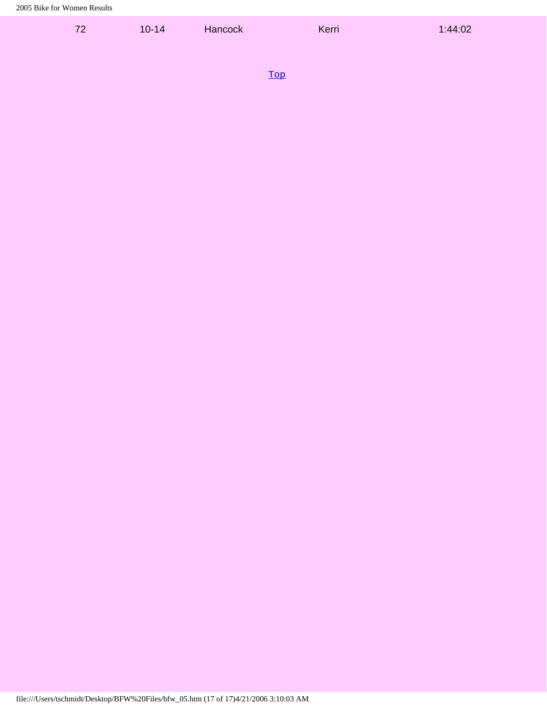| 72 | $10 - 14$ | Hancock                | Kerri | 1:44:02 |
|----|-----------|------------------------|-------|---------|
|    |           |                        |       |         |
|    |           | <b>Service Service</b> |       |         |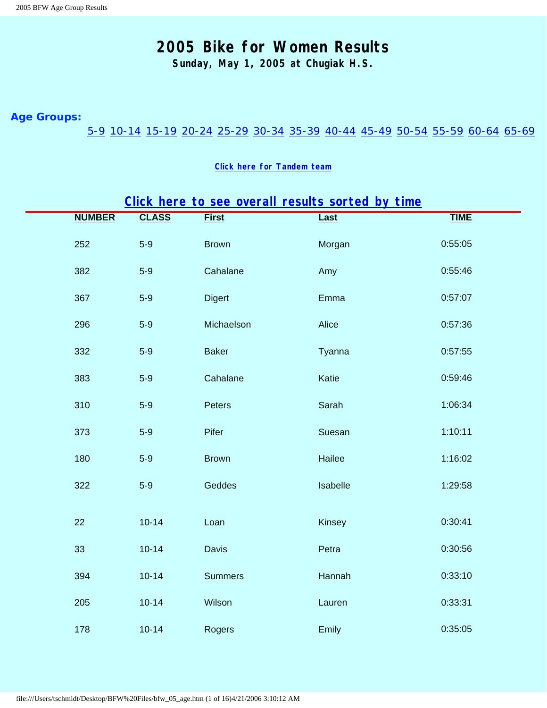**Sunday, May 1, 2005 at Chugiak H.S.**

#### <span id="page-17-3"></span><span id="page-17-0"></span>**Age Groups:**

### [5-9](#page-17-1) [10-14](#page-17-2) [15-19](#page-19-0) [20-24](#page-20-0) [25-29](#page-20-1) [30-34](#page-21-0) [35-39](#page-22-0) [40-44](#page-24-0) [45-49](#page-27-0) [50-54](#page-29-0) [55-59](#page-30-0) [60-64](#page-31-0) [65-69](#page-31-1)

#### **[Click here for Tandem team](#page-32-0)**

# **[Click here to see overall results sorted by time](#page-0-1)**

<span id="page-17-2"></span><span id="page-17-1"></span>

| <b>NUMBER</b> | <b>CLASS</b> | <b>First</b>   | Last     | <b>TIME</b> |
|---------------|--------------|----------------|----------|-------------|
| 252           | $5-9$        | <b>Brown</b>   | Morgan   | 0:55:05     |
| 382           | $5-9$        | Cahalane       | Amy      | 0:55:46     |
| 367           | $5-9$        | <b>Digert</b>  | Emma     | 0:57:07     |
| 296           | $5-9$        | Michaelson     | Alice    | 0:57:36     |
| 332           | $5-9$        | <b>Baker</b>   | Tyanna   | 0:57:55     |
| 383           | $5-9$        | Cahalane       | Katie    | 0:59:46     |
| 310           | $5-9$        | Peters         | Sarah    | 1:06:34     |
| 373           | $5-9$        | Pifer          | Suesan   | 1:10:11     |
| 180           | $5-9$        | <b>Brown</b>   | Hailee   | 1:16:02     |
| 322           | $5-9$        | Geddes         | Isabelle | 1:29:58     |
| 22            | $10 - 14$    | Loan           | Kinsey   | 0:30:41     |
| 33            | $10 - 14$    | Davis          | Petra    | 0:30:56     |
| 394           | $10 - 14$    | <b>Summers</b> | Hannah   | 0:33:10     |
| 205           | $10 - 14$    | Wilson         | Lauren   | 0:33:31     |
| 178           | $10 - 14$    | Rogers         | Emily    | 0:35:05     |
|               |              |                |          |             |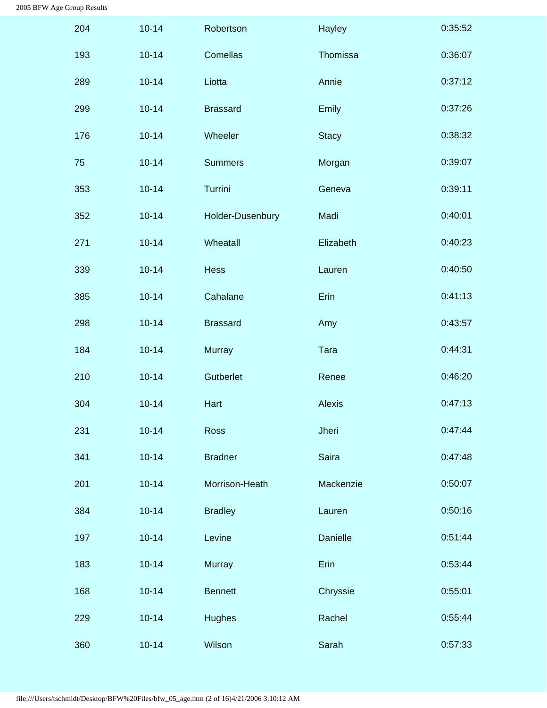| 204 | $10 - 14$ | Robertson        | Hayley        | 0:35:52 |
|-----|-----------|------------------|---------------|---------|
| 193 | $10 - 14$ | Comellas         | Thomissa      | 0:36:07 |
| 289 | $10 - 14$ | Liotta           | Annie         | 0:37:12 |
| 299 | $10 - 14$ | <b>Brassard</b>  | Emily         | 0:37:26 |
| 176 | $10 - 14$ | Wheeler          | <b>Stacy</b>  | 0:38:32 |
| 75  | $10 - 14$ | <b>Summers</b>   | Morgan        | 0:39:07 |
| 353 | $10 - 14$ | Turrini          | Geneva        | 0:39:11 |
| 352 | $10 - 14$ | Holder-Dusenbury | Madi          | 0:40:01 |
| 271 | $10 - 14$ | Wheatall         | Elizabeth     | 0:40:23 |
| 339 | $10 - 14$ | Hess             | Lauren        | 0:40:50 |
| 385 | $10 - 14$ | Cahalane         | Erin          | 0:41:13 |
| 298 | $10 - 14$ | <b>Brassard</b>  | Amy           | 0:43:57 |
| 184 | $10 - 14$ | <b>Murray</b>    | Tara          | 0:44:31 |
| 210 | $10 - 14$ | Gutberlet        | Renee         | 0:46:20 |
| 304 | $10 - 14$ | Hart             | <b>Alexis</b> | 0:47:13 |
| 231 | $10 - 14$ | Ross             | Jheri         | 0:47:44 |
| 341 | $10 - 14$ | <b>Bradner</b>   | Saira         | 0:47:48 |
| 201 | $10 - 14$ | Morrison-Heath   | Mackenzie     | 0:50:07 |
| 384 | $10 - 14$ | <b>Bradley</b>   | Lauren        | 0:50:16 |
| 197 | $10 - 14$ | Levine           | Danielle      | 0:51:44 |
| 183 | $10 - 14$ | <b>Murray</b>    | Erin          | 0:53:44 |
| 168 | $10 - 14$ | <b>Bennett</b>   | Chryssie      | 0:55:01 |
| 229 | $10 - 14$ | <b>Hughes</b>    | Rachel        | 0:55:44 |
| 360 | $10 - 14$ | Wilson           | Sarah         | 0:57:33 |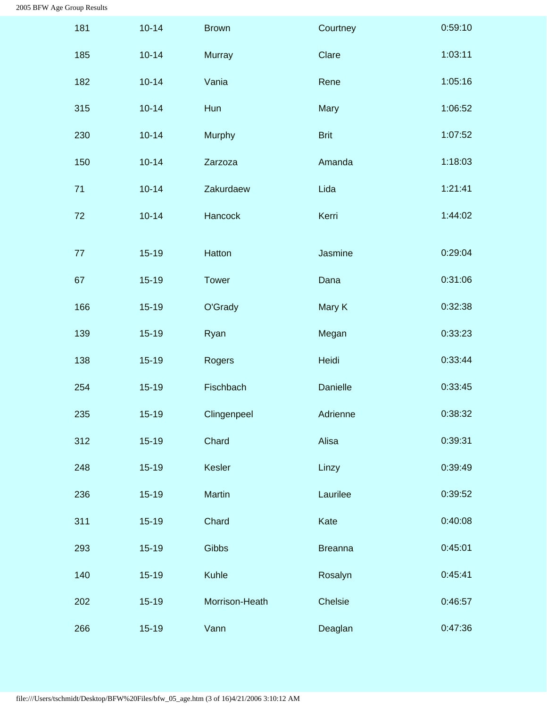<span id="page-19-0"></span>

| 181 | $10 - 14$ | <b>Brown</b>   | Courtney       | 0:59:10 |
|-----|-----------|----------------|----------------|---------|
| 185 | $10 - 14$ | <b>Murray</b>  | Clare          | 1:03:11 |
| 182 | $10 - 14$ | Vania          | Rene           | 1:05:16 |
| 315 | $10 - 14$ | Hun            | Mary           | 1:06:52 |
| 230 | $10 - 14$ | Murphy         | <b>Brit</b>    | 1:07:52 |
| 150 | $10 - 14$ | Zarzoza        | Amanda         | 1:18:03 |
| 71  | $10 - 14$ | Zakurdaew      | Lida           | 1:21:41 |
| 72  | $10 - 14$ | Hancock        | Kerri          | 1:44:02 |
| 77  | $15 - 19$ | Hatton         | Jasmine        | 0:29:04 |
| 67  | $15 - 19$ | <b>Tower</b>   | Dana           | 0:31:06 |
|     |           |                |                |         |
| 166 | $15 - 19$ | O'Grady        | Mary K         | 0:32:38 |
| 139 | $15 - 19$ | Ryan           | Megan          | 0:33:23 |
| 138 | $15 - 19$ | Rogers         | Heidi          | 0:33:44 |
| 254 | $15 - 19$ | Fischbach      | Danielle       | 0:33:45 |
| 235 | $15-19$   | Clingenpeel    | Adrienne       | 0:38:32 |
| 312 | $15 - 19$ | Chard          | Alisa          | 0:39:31 |
| 248 | $15 - 19$ | Kesler         | Linzy          | 0:39:49 |
| 236 | $15 - 19$ | Martin         | Laurilee       | 0:39:52 |
| 311 | $15 - 19$ | Chard          | Kate           | 0:40:08 |
| 293 | $15 - 19$ | Gibbs          | <b>Breanna</b> | 0:45:01 |
| 140 | $15-19$   | Kuhle          | Rosalyn        | 0:45:41 |
| 202 | $15 - 19$ | Morrison-Heath | Chelsie        | 0:46:57 |
| 266 | $15-19$   | Vann           | Deaglan        | 0:47:36 |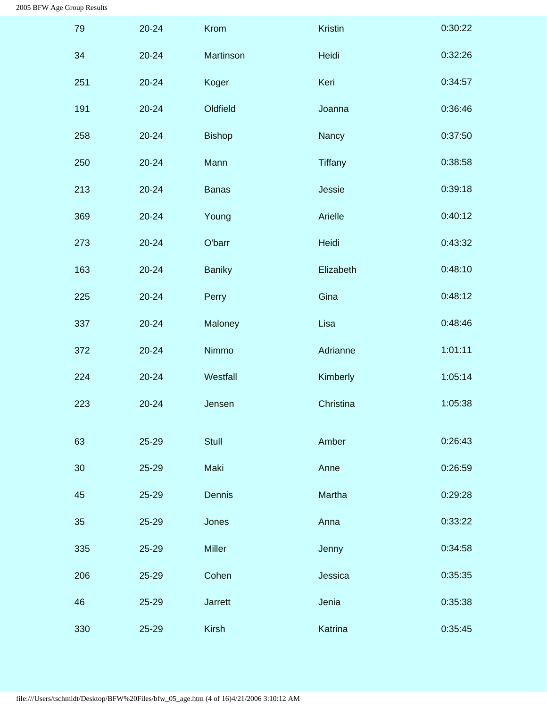<span id="page-20-1"></span><span id="page-20-0"></span>

| 79  | 20-24     | Krom           | Kristin   | 0:30:22 |
|-----|-----------|----------------|-----------|---------|
| 34  | $20 - 24$ | Martinson      | Heidi     | 0:32:26 |
| 251 | $20 - 24$ | Koger          | Keri      | 0:34:57 |
| 191 | 20-24     | Oldfield       | Joanna    | 0:36:46 |
| 258 | $20 - 24$ | <b>Bishop</b>  | Nancy     | 0:37:50 |
| 250 | 20-24     | Mann           | Tiffany   | 0:38:58 |
| 213 | $20 - 24$ | <b>Banas</b>   | Jessie    | 0:39:18 |
| 369 | 20-24     | Young          | Arielle   | 0:40:12 |
| 273 | $20 - 24$ | O'barr         | Heidi     | 0:43:32 |
| 163 | 20-24     | <b>Baniky</b>  | Elizabeth | 0:48:10 |
| 225 | $20 - 24$ | Perry          | Gina      | 0:48:12 |
| 337 | 20-24     | Maloney        | Lisa      | 0:48:46 |
| 372 | $20 - 24$ | Nimmo          | Adrianne  | 1:01:11 |
| 224 | 20-24     | Westfall       | Kimberly  | 1:05:14 |
| 223 | 20-24     | Jensen         | Christina | 1:05:38 |
| 63  | 25-29     | <b>Stull</b>   | Amber     | 0:26:43 |
| 30  | 25-29     | Maki           | Anne      | 0:26:59 |
| 45  | 25-29     | Dennis         | Martha    | 0:29:28 |
| 35  | 25-29     | Jones          | Anna      | 0:33:22 |
| 335 | 25-29     | Miller         | Jenny     | 0:34:58 |
| 206 | 25-29     | Cohen          | Jessica   | 0:35:35 |
| 46  | 25-29     | <b>Jarrett</b> | Jenia     | 0:35:38 |
| 330 | 25-29     | <b>Kirsh</b>   | Katrina   | 0:35:45 |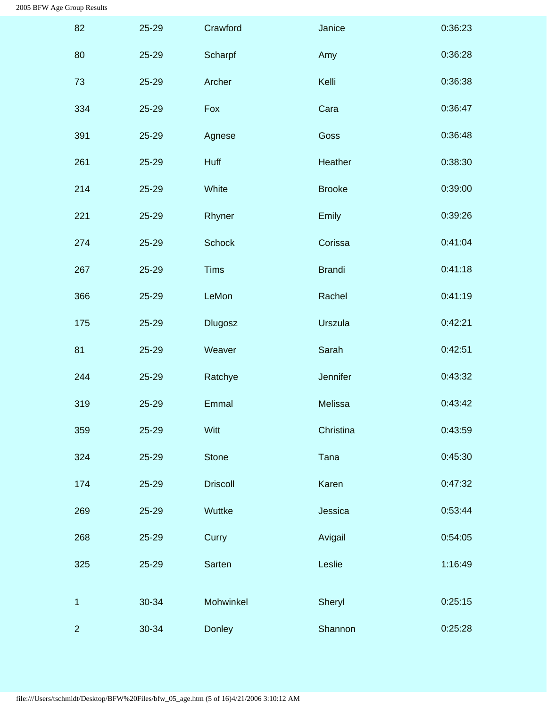<span id="page-21-0"></span>

| 82             | 25-29 | Crawford        | Janice        | 0:36:23 |
|----------------|-------|-----------------|---------------|---------|
| 80             | 25-29 | Scharpf         | Amy           | 0:36:28 |
| 73             | 25-29 | Archer          | Kelli         | 0:36:38 |
| 334            | 25-29 | Fox             | Cara          | 0:36:47 |
| 391            | 25-29 | Agnese          | Goss          | 0:36:48 |
| 261            | 25-29 | Huff            | Heather       | 0:38:30 |
| 214            | 25-29 | White           | <b>Brooke</b> | 0:39:00 |
| 221            | 25-29 | Rhyner          | Emily         | 0:39:26 |
| 274            | 25-29 | <b>Schock</b>   | Corissa       | 0:41:04 |
| 267            | 25-29 | <b>Tims</b>     | <b>Brandi</b> | 0:41:18 |
| 366            | 25-29 | LeMon           | Rachel        | 0:41:19 |
| 175            | 25-29 | <b>Dlugosz</b>  | Urszula       | 0:42:21 |
| 81             | 25-29 | Weaver          | Sarah         | 0:42:51 |
| 244            | 25-29 | Ratchye         | Jennifer      | 0:43:32 |
| 319            | 25-29 | Emmal           | Melissa       | 0:43:42 |
| 359            | 25-29 | Witt            | Christina     | 0:43:59 |
| 324            | 25-29 | <b>Stone</b>    | Tana          | 0:45:30 |
| 174            | 25-29 | <b>Driscoll</b> | Karen         | 0:47:32 |
| 269            | 25-29 | Wuttke          | Jessica       | 0:53:44 |
| 268            | 25-29 | Curry           | Avigail       | 0:54:05 |
| 325            | 25-29 | Sarten          | Leslie        | 1:16:49 |
| 1              | 30-34 | Mohwinkel       | Sheryl        | 0:25:15 |
| $\overline{2}$ | 30-34 | Donley          | Shannon       | 0:25:28 |
|                |       |                 |               |         |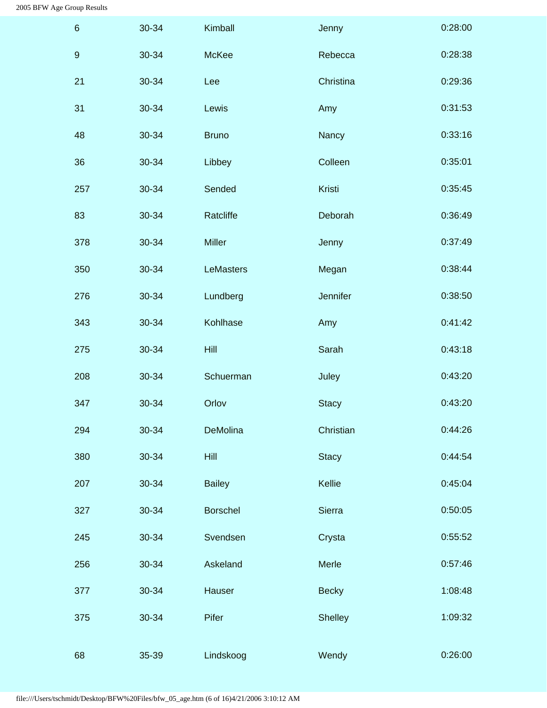<span id="page-22-0"></span>

| $6\phantom{1}6$  | 30-34 | Kimball         | Jenny          | 0:28:00 |
|------------------|-------|-----------------|----------------|---------|
| $\boldsymbol{9}$ | 30-34 | McKee           | Rebecca        | 0:28:38 |
| 21               | 30-34 | Lee             | Christina      | 0:29:36 |
| 31               | 30-34 | Lewis           | Amy            | 0:31:53 |
| 48               | 30-34 | <b>Bruno</b>    | Nancy          | 0:33:16 |
| 36               | 30-34 | Libbey          | Colleen        | 0:35:01 |
| 257              | 30-34 | Sended          | Kristi         | 0:35:45 |
| 83               | 30-34 | Ratcliffe       | Deborah        | 0:36:49 |
| 378              | 30-34 | Miller          | Jenny          | 0:37:49 |
| 350              | 30-34 | LeMasters       | Megan          | 0:38:44 |
| 276              | 30-34 | Lundberg        | Jennifer       | 0:38:50 |
| 343              | 30-34 | Kohlhase        | Amy            | 0:41:42 |
| 275              | 30-34 | <b>Hill</b>     | Sarah          | 0:43:18 |
| 208              | 30-34 | Schuerman       | Juley          | 0:43:20 |
| 347              | 30-34 | Orlov           | <b>Stacy</b>   | 0:43:20 |
| 294              | 30-34 | DeMolina        | Christian      | 0:44:26 |
| 380              | 30-34 | <b>Hill</b>     | <b>Stacy</b>   | 0:44:54 |
| 207              | 30-34 | <b>Bailey</b>   | Kellie         | 0:45:04 |
| 327              | 30-34 | <b>Borschel</b> | Sierra         | 0:50:05 |
| 245              | 30-34 | Svendsen        | Crysta         | 0:55:52 |
| 256              | 30-34 | Askeland        | Merle          | 0:57:46 |
| 377              | 30-34 | Hauser          | <b>Becky</b>   | 1:08:48 |
| 375              | 30-34 | Pifer           | <b>Shelley</b> | 1:09:32 |
| 68               | 35-39 | Lindskoog       | Wendy          | 0:26:00 |
|                  |       |                 |                |         |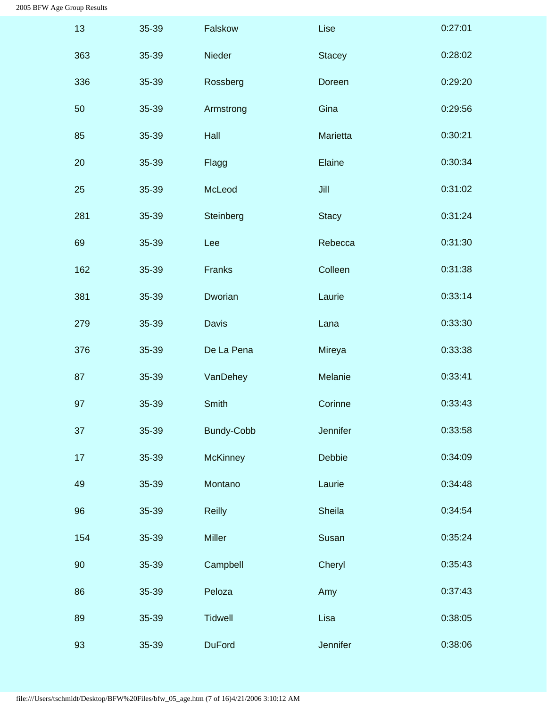| 13  | 35-39 | Falskow           | Lise          | 0:27:01 |
|-----|-------|-------------------|---------------|---------|
| 363 | 35-39 | Nieder            | <b>Stacey</b> | 0:28:02 |
| 336 | 35-39 | Rossberg          | Doreen        | 0:29:20 |
| 50  | 35-39 | Armstrong         | Gina          | 0:29:56 |
| 85  | 35-39 | Hall              | Marietta      | 0:30:21 |
| 20  | 35-39 | Flagg             | Elaine        | 0:30:34 |
| 25  | 35-39 | McLeod            | Jill          | 0:31:02 |
| 281 | 35-39 | Steinberg         | <b>Stacy</b>  | 0:31:24 |
| 69  | 35-39 | Lee               | Rebecca       | 0:31:30 |
| 162 | 35-39 | Franks            | Colleen       | 0:31:38 |
| 381 | 35-39 | Dworian           | Laurie        | 0:33:14 |
| 279 | 35-39 | Davis             | Lana          | 0:33:30 |
| 376 | 35-39 | De La Pena        | Mireya        | 0:33:38 |
| 87  | 35-39 | VanDehey          | Melanie       | 0:33:41 |
| 97  | 35-39 | Smith             | Corinne       | 0:33:43 |
| 37  | 35-39 | <b>Bundy-Cobb</b> | Jennifer      | 0:33:58 |
| 17  | 35-39 | <b>McKinney</b>   | Debbie        | 0:34:09 |
| 49  | 35-39 | Montano           | Laurie        | 0:34:48 |
| 96  | 35-39 | <b>Reilly</b>     | Sheila        | 0:34:54 |
| 154 | 35-39 | Miller            | Susan         | 0:35:24 |
| 90  | 35-39 | Campbell          | Cheryl        | 0:35:43 |
| 86  | 35-39 | Peloza            | Amy           | 0:37:43 |
| 89  | 35-39 | <b>Tidwell</b>    | Lisa          | 0:38:05 |
| 93  | 35-39 | <b>DuFord</b>     | Jennifer      | 0:38:06 |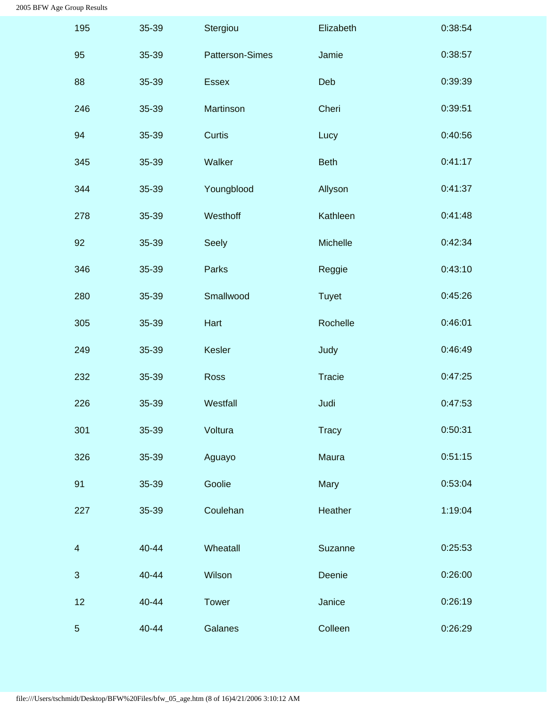<span id="page-24-0"></span>

| 195                      | 35-39 | Stergiou        | Elizabeth     | 0:38:54 |
|--------------------------|-------|-----------------|---------------|---------|
| 95                       | 35-39 | Patterson-Simes | Jamie         | 0:38:57 |
| 88                       | 35-39 | <b>Essex</b>    | Deb           | 0:39:39 |
| 246                      | 35-39 | Martinson       | Cheri         | 0:39:51 |
| 94                       | 35-39 | Curtis          | Lucy          | 0:40:56 |
| 345                      | 35-39 | Walker          | <b>Beth</b>   | 0:41:17 |
| 344                      | 35-39 | Youngblood      | Allyson       | 0:41:37 |
| 278                      | 35-39 | Westhoff        | Kathleen      | 0:41:48 |
| 92                       | 35-39 | Seely           | Michelle      | 0:42:34 |
| 346                      | 35-39 | Parks           | Reggie        | 0:43:10 |
| 280                      | 35-39 | Smallwood       | <b>Tuyet</b>  | 0:45:26 |
| 305                      | 35-39 | Hart            | Rochelle      | 0:46:01 |
| 249                      | 35-39 | Kesler          | Judy          | 0:46:49 |
| 232                      | 35-39 | <b>Ross</b>     | <b>Tracie</b> | 0:47:25 |
| 226                      | 35-39 | Westfall        | Judi          | 0:47:53 |
| 301                      | 35-39 | Voltura         | <b>Tracy</b>  | 0:50:31 |
| 326                      | 35-39 | Aguayo          | Maura         | 0:51:15 |
| 91                       | 35-39 | Goolie          | Mary          | 0:53:04 |
| 227                      | 35-39 | Coulehan        | Heather       | 1:19:04 |
| $\overline{\mathcal{A}}$ | 40-44 | Wheatall        | Suzanne       | 0:25:53 |
| 3                        | 40-44 | Wilson          | Deenie        | 0:26:00 |
| 12                       | 40-44 | <b>Tower</b>    | Janice        | 0:26:19 |
| $\overline{5}$           | 40-44 | Galanes         | Colleen       | 0:26:29 |
|                          |       |                 |               |         |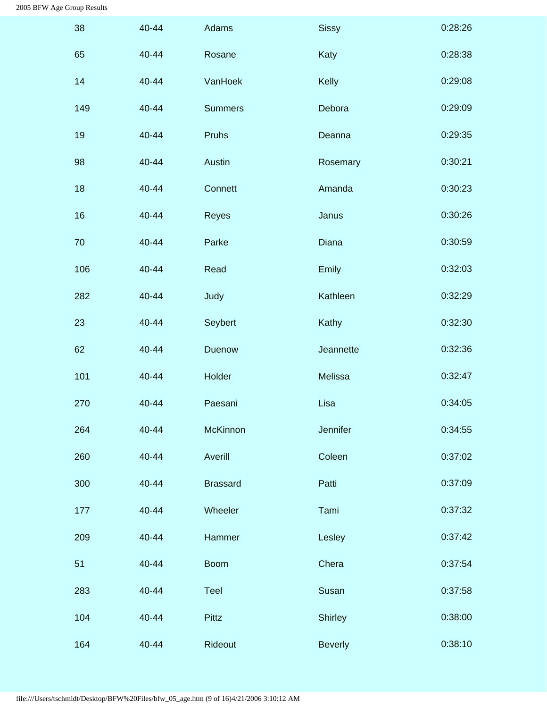| 38  | 40-44 | Adams           | <b>Sissy</b>   | 0:28:26 |
|-----|-------|-----------------|----------------|---------|
| 65  | 40-44 | Rosane          | Katy           | 0:28:38 |
| 14  | 40-44 | VanHoek         | Kelly          | 0:29:08 |
| 149 | 40-44 | <b>Summers</b>  | Debora         | 0:29:09 |
| 19  | 40-44 | Pruhs           | Deanna         | 0:29:35 |
| 98  | 40-44 | Austin          | Rosemary       | 0:30:21 |
| 18  | 40-44 | Connett         | Amanda         | 0:30:23 |
| 16  | 40-44 | Reyes           | Janus          | 0:30:26 |
| 70  | 40-44 | Parke           | Diana          | 0:30:59 |
| 106 | 40-44 | Read            | Emily          | 0:32:03 |
| 282 | 40-44 | Judy            | Kathleen       | 0:32:29 |
| 23  | 40-44 | Seybert         | Kathy          | 0:32:30 |
| 62  | 40-44 | Duenow          | Jeannette      | 0:32:36 |
| 101 | 40-44 | Holder          | Melissa        | 0:32:47 |
| 270 | 40-44 | Paesani         | Lisa           | 0:34:05 |
| 264 | 40-44 | <b>McKinnon</b> | Jennifer       | 0:34:55 |
| 260 | 40-44 | Averill         | Coleen         | 0:37:02 |
| 300 | 40-44 | <b>Brassard</b> | Patti          | 0:37:09 |
| 177 | 40-44 | Wheeler         | Tami           | 0:37:32 |
| 209 | 40-44 | Hammer          | Lesley         | 0:37:42 |
| 51  | 40-44 | <b>Boom</b>     | Chera          | 0:37:54 |
| 283 | 40-44 | Teel            | Susan          | 0:37:58 |
| 104 | 40-44 | <b>Pittz</b>    | <b>Shirley</b> | 0:38:00 |
| 164 | 40-44 | Rideout         | <b>Beverly</b> | 0:38:10 |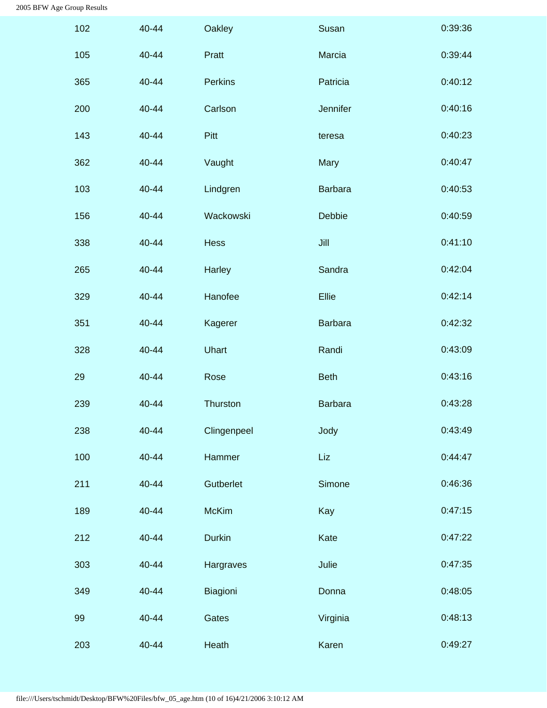| 102 | 40-44 | Oakley         | Susan          | 0:39:36 |
|-----|-------|----------------|----------------|---------|
| 105 | 40-44 | Pratt          | Marcia         | 0:39:44 |
| 365 | 40-44 | <b>Perkins</b> | Patricia       | 0:40:12 |
| 200 | 40-44 | Carlson        | Jennifer       | 0:40:16 |
| 143 | 40-44 | Pitt           | teresa         | 0:40:23 |
| 362 | 40-44 | Vaught         | Mary           | 0:40:47 |
| 103 | 40-44 | Lindgren       | <b>Barbara</b> | 0:40:53 |
| 156 | 40-44 | Wackowski      | Debbie         | 0:40:59 |
| 338 | 40-44 | Hess           | Jill           | 0:41:10 |
| 265 | 40-44 | Harley         | Sandra         | 0:42:04 |
| 329 | 40-44 | Hanofee        | Ellie          | 0:42:14 |
| 351 | 40-44 | Kagerer        | <b>Barbara</b> | 0:42:32 |
| 328 | 40-44 | Uhart          | Randi          | 0:43:09 |
| 29  | 40-44 | Rose           | <b>Beth</b>    | 0:43:16 |
| 239 | 40-44 | Thurston       | <b>Barbara</b> | 0:43:28 |
| 238 | 40-44 | Clingenpeel    | Jody           | 0:43:49 |
| 100 | 40-44 | Hammer         | Liz            | 0:44:47 |
| 211 | 40-44 | Gutberlet      | Simone         | 0:46:36 |
| 189 | 40-44 | <b>McKim</b>   | Kay            | 0:47:15 |
| 212 | 40-44 | <b>Durkin</b>  | Kate           | 0:47:22 |
| 303 | 40-44 | Hargraves      | Julie          | 0:47:35 |
| 349 | 40-44 | Biagioni       | Donna          | 0:48:05 |
| 99  | 40-44 | Gates          | Virginia       | 0:48:13 |
| 203 | 40-44 | Heath          | Karen          | 0:49:27 |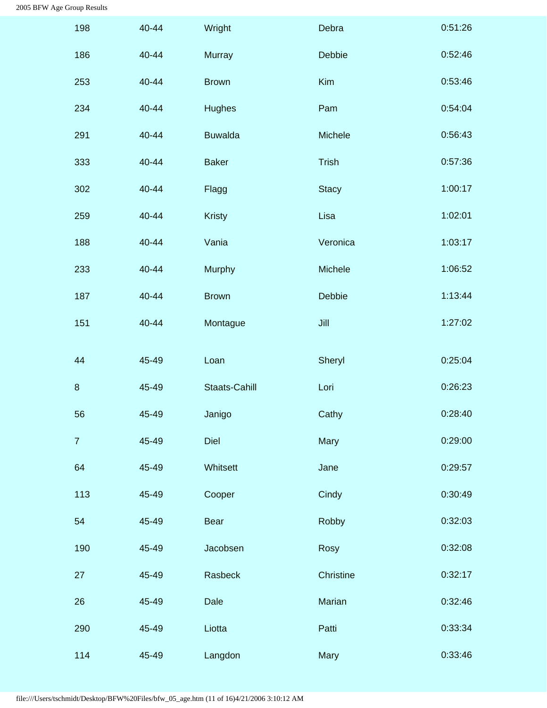<span id="page-27-0"></span>

| 198            | 40-44 | Wright               | Debra        | 0:51:26 |
|----------------|-------|----------------------|--------------|---------|
| 186            | 40-44 | <b>Murray</b>        | Debbie       | 0:52:46 |
| 253            | 40-44 | <b>Brown</b>         | Kim          | 0:53:46 |
| 234            | 40-44 | <b>Hughes</b>        | Pam          | 0:54:04 |
| 291            | 40-44 | <b>Buwalda</b>       | Michele      | 0:56:43 |
| 333            | 40-44 | <b>Baker</b>         | Trish        | 0:57:36 |
| 302            | 40-44 | Flagg                | <b>Stacy</b> | 1:00:17 |
| 259            | 40-44 | <b>Kristy</b>        | Lisa         | 1:02:01 |
| 188            | 40-44 | Vania                | Veronica     | 1:03:17 |
| 233            | 40-44 | Murphy               | Michele      | 1:06:52 |
| 187            | 40-44 | <b>Brown</b>         | Debbie       | 1:13:44 |
| 151            | 40-44 | Montague             | Jill         | 1:27:02 |
| 44             | 45-49 | Loan                 | Sheryl       | 0:25:04 |
| $\,8\,$        | 45-49 | <b>Staats-Cahill</b> | Lori         | 0:26:23 |
| 56             | 45-49 | Janigo               | Cathy        | 0:28:40 |
| $\overline{7}$ | 45-49 | Diel                 | Mary         | 0:29:00 |
| 64             | 45-49 | Whitsett             | Jane         | 0:29:57 |
| 113            | 45-49 | Cooper               | Cindy        | 0:30:49 |
| 54             | 45-49 | <b>Bear</b>          | Robby        | 0:32:03 |
| 190            | 45-49 | Jacobsen             | Rosy         | 0:32:08 |
| 27             | 45-49 | Rasbeck              | Christine    | 0:32:17 |
| 26             | 45-49 | Dale                 | Marian       | 0:32:46 |
| 290            | 45-49 | Liotta               | Patti        | 0:33:34 |
| 114            | 45-49 | Langdon              | Mary         | 0:33:46 |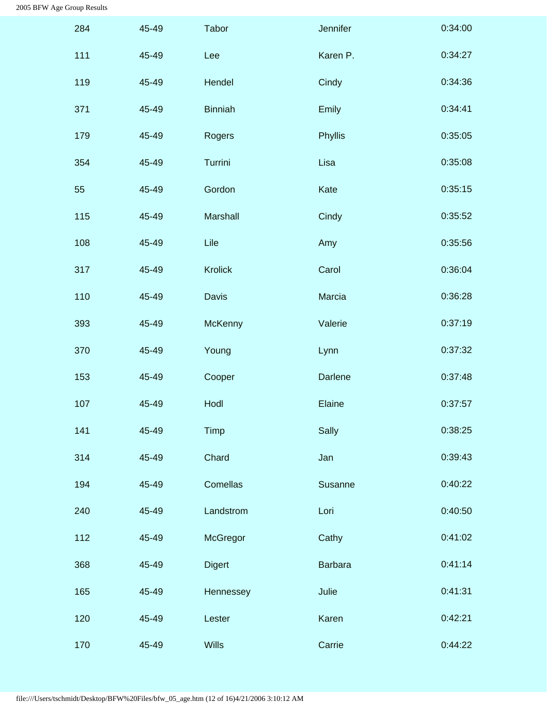| 284 | 45-49 | Tabor          | Jennifer       | 0:34:00 |
|-----|-------|----------------|----------------|---------|
| 111 | 45-49 | Lee            | Karen P.       | 0:34:27 |
| 119 | 45-49 | Hendel         | Cindy          | 0:34:36 |
| 371 | 45-49 | <b>Binniah</b> | Emily          | 0:34:41 |
| 179 | 45-49 | Rogers         | Phyllis        | 0:35:05 |
| 354 | 45-49 | Turrini        | Lisa           | 0:35:08 |
| 55  | 45-49 | Gordon         | Kate           | 0:35:15 |
| 115 | 45-49 | Marshall       | Cindy          | 0:35:52 |
| 108 | 45-49 | Lile           | Amy            | 0:35:56 |
| 317 | 45-49 | <b>Krolick</b> | Carol          | 0:36:04 |
| 110 | 45-49 | Davis          | Marcia         | 0:36:28 |
| 393 | 45-49 | McKenny        | Valerie        | 0:37:19 |
| 370 | 45-49 | Young          | Lynn           | 0:37:32 |
| 153 | 45-49 | Cooper         | <b>Darlene</b> | 0:37:48 |
| 107 | 45-49 | Hodl           | Elaine         | 0:37:57 |
| 141 | 45-49 | Timp           | Sally          | 0:38:25 |
| 314 | 45-49 | Chard          | Jan            | 0:39:43 |
| 194 | 45-49 | Comellas       | Susanne        | 0:40:22 |
| 240 | 45-49 | Landstrom      | Lori           | 0:40:50 |
| 112 | 45-49 | McGregor       | Cathy          | 0:41:02 |
| 368 | 45-49 | <b>Digert</b>  | <b>Barbara</b> | 0:41:14 |
| 165 | 45-49 | Hennessey      | Julie          | 0:41:31 |
| 120 | 45-49 | Lester         | Karen          | 0:42:21 |
| 170 | 45-49 | Wills          | Carrie         | 0:44:22 |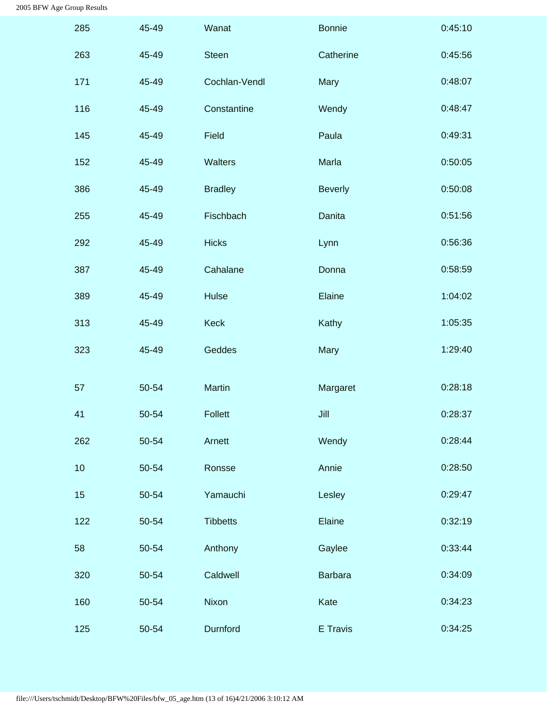<span id="page-29-0"></span>

| 285 | 45-49 | Wanat           | <b>Bonnie</b>  | 0:45:10 |
|-----|-------|-----------------|----------------|---------|
| 263 | 45-49 | <b>Steen</b>    | Catherine      | 0:45:56 |
| 171 | 45-49 | Cochlan-Vendl   | Mary           | 0:48:07 |
| 116 | 45-49 | Constantine     | Wendy          | 0:48:47 |
| 145 | 45-49 | Field           | Paula          | 0:49:31 |
| 152 | 45-49 | Walters         | Marla          | 0:50:05 |
| 386 | 45-49 | <b>Bradley</b>  | <b>Beverly</b> | 0:50:08 |
| 255 | 45-49 | Fischbach       | <b>Danita</b>  | 0:51:56 |
| 292 | 45-49 | <b>Hicks</b>    | Lynn           | 0:56:36 |
| 387 | 45-49 | Cahalane        | Donna          | 0:58:59 |
| 389 | 45-49 | Hulse           | Elaine         | 1:04:02 |
| 313 | 45-49 | <b>Keck</b>     | Kathy          | 1:05:35 |
| 323 | 45-49 | Geddes          | Mary           | 1:29:40 |
| 57  | 50-54 | Martin          | Margaret       | 0:28:18 |
| 41  | 50-54 | <b>Follett</b>  | Jill           | 0:28:37 |
| 262 | 50-54 | Arnett          | Wendy          | 0:28:44 |
| 10  | 50-54 | Ronsse          | Annie          | 0:28:50 |
| 15  | 50-54 | Yamauchi        | Lesley         | 0:29:47 |
| 122 | 50-54 | <b>Tibbetts</b> | Elaine         | 0:32:19 |
| 58  | 50-54 | Anthony         | Gaylee         | 0:33:44 |
| 320 | 50-54 | Caldwell        | <b>Barbara</b> | 0:34:09 |
| 160 | 50-54 | Nixon           | Kate           | 0:34:23 |
| 125 | 50-54 | Durnford        | E Travis       | 0:34:25 |
|     |       |                 |                |         |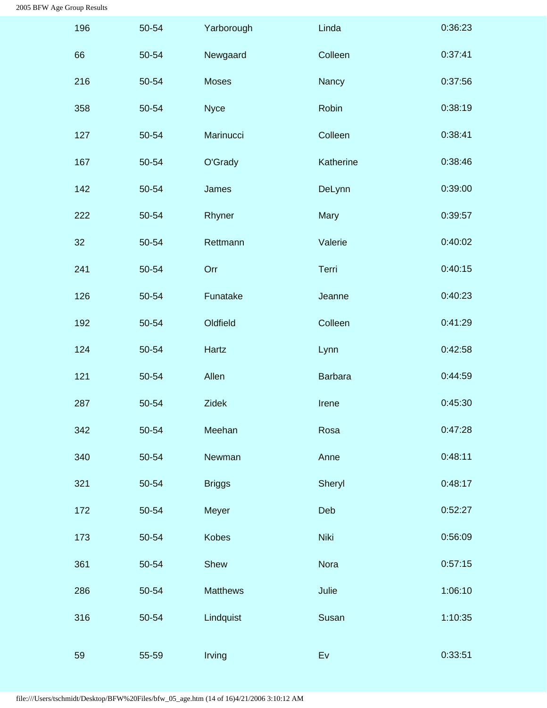<span id="page-30-0"></span>

| 196 | 50-54 | Yarborough      | Linda          | 0:36:23 |
|-----|-------|-----------------|----------------|---------|
| 66  | 50-54 | Newgaard        | Colleen        | 0:37:41 |
| 216 | 50-54 | <b>Moses</b>    | Nancy          | 0:37:56 |
| 358 | 50-54 | <b>Nyce</b>     | Robin          | 0:38:19 |
| 127 | 50-54 | Marinucci       | Colleen        | 0:38:41 |
| 167 | 50-54 | O'Grady         | Katherine      | 0:38:46 |
| 142 | 50-54 | James           | DeLynn         | 0:39:00 |
| 222 | 50-54 | Rhyner          | Mary           | 0:39:57 |
| 32  | 50-54 | Rettmann        | Valerie        | 0:40:02 |
| 241 | 50-54 | Orr             | Terri          | 0:40:15 |
| 126 | 50-54 | Funatake        | Jeanne         | 0:40:23 |
| 192 | 50-54 | Oldfield        | Colleen        | 0:41:29 |
| 124 | 50-54 | Hartz           | Lynn           | 0:42:58 |
| 121 | 50-54 | Allen           | <b>Barbara</b> | 0:44:59 |
| 287 | 50-54 | <b>Zidek</b>    | Irene          | 0:45:30 |
| 342 | 50-54 | Meehan          | Rosa           | 0:47:28 |
| 340 | 50-54 | Newman          | Anne           | 0:48:11 |
| 321 | 50-54 | <b>Briggs</b>   | Sheryl         | 0:48:17 |
| 172 | 50-54 | Meyer           | Deb            | 0:52:27 |
| 173 | 50-54 | <b>Kobes</b>    | <b>Niki</b>    | 0:56:09 |
| 361 | 50-54 | Shew            | Nora           | 0:57:15 |
| 286 | 50-54 | <b>Matthews</b> | Julie          | 1:06:10 |
| 316 | 50-54 | Lindquist       | Susan          | 1:10:35 |
| 59  | 55-59 | Irving          | Ev             | 0:33:51 |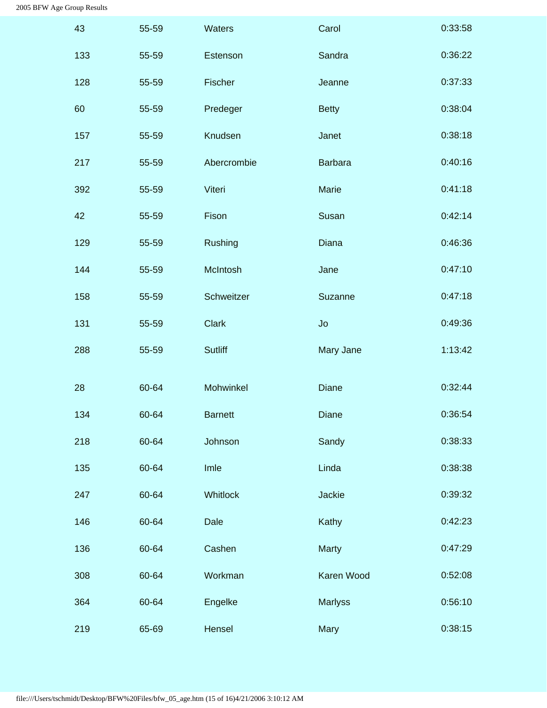<span id="page-31-1"></span><span id="page-31-0"></span>

| 43  | 55-59 | Waters         | Carol          | 0:33:58 |
|-----|-------|----------------|----------------|---------|
| 133 | 55-59 | Estenson       | Sandra         | 0:36:22 |
| 128 | 55-59 | Fischer        | Jeanne         | 0:37:33 |
| 60  | 55-59 | Predeger       | <b>Betty</b>   | 0:38:04 |
| 157 | 55-59 | Knudsen        | Janet          | 0:38:18 |
| 217 | 55-59 | Abercrombie    | <b>Barbara</b> | 0:40:16 |
| 392 | 55-59 | Viteri         | Marie          | 0:41:18 |
| 42  | 55-59 | Fison          | Susan          | 0:42:14 |
| 129 | 55-59 | Rushing        | Diana          | 0:46:36 |
| 144 | 55-59 | McIntosh       | Jane           | 0:47:10 |
| 158 | 55-59 | Schweitzer     | Suzanne        | 0:47:18 |
| 131 | 55-59 | <b>Clark</b>   | Jo             | 0:49:36 |
| 288 | 55-59 | <b>Sutliff</b> | Mary Jane      | 1:13:42 |
| 28  | 60-64 | Mohwinkel      | Diane          | 0:32:44 |
| 134 | 60-64 | <b>Barnett</b> | Diane          | 0:36:54 |
| 218 | 60-64 | Johnson        | Sandy          | 0:38:33 |
| 135 | 60-64 | Imle           | Linda          | 0:38:38 |
| 247 | 60-64 | Whitlock       | Jackie         | 0:39:32 |
| 146 | 60-64 | Dale           | Kathy          | 0:42:23 |
| 136 | 60-64 | Cashen         | <b>Marty</b>   | 0:47:29 |
| 308 | 60-64 | Workman        | Karen Wood     | 0:52:08 |
| 364 | 60-64 | Engelke        | <b>Marlyss</b> | 0:56:10 |
| 219 | 65-69 | Hensel         | Mary           | 0:38:15 |